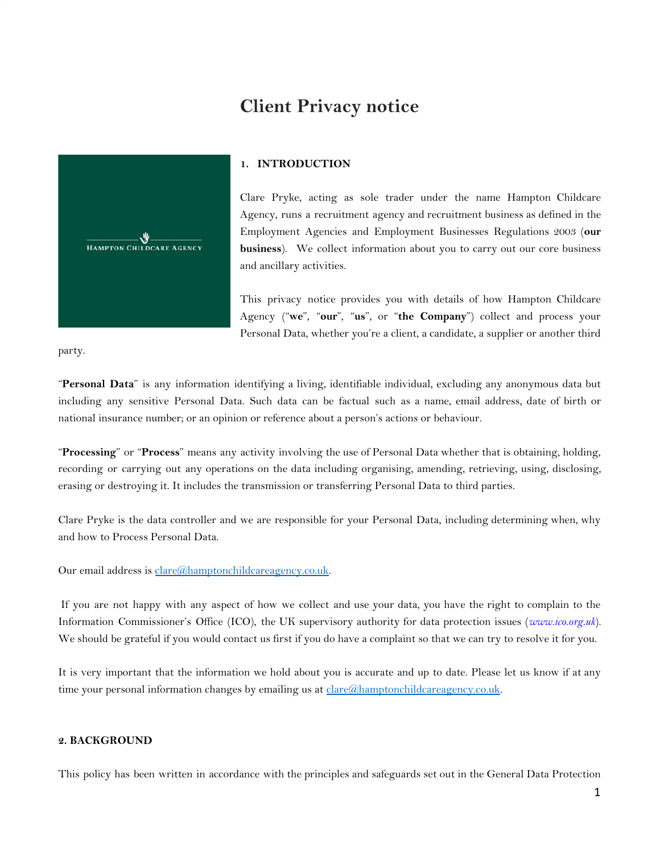# **Client Privacy notice**



# **1. INTRODUCTION**

Clare Pryke, acting as sole trader under the name Hampton Childcare Agency, runs a recruitment agency and recruitment business as defined in the Employment Agencies and Employment Businesses Regulations 2003 (**our business**). We collect information about you to carry out our core business and ancillary activities.

This privacy notice provides you with details of how Hampton Childcare Agency ("**we**", "**our**", "**us**", or "**the Company**") collect and process your Personal Data, whether you're a client, a candidate, a supplier or another third

party.

"**Personal Data**" is any information identifying a living, identifiable individual, excluding any anonymous data but including any sensitive Personal Data. Such data can be factual such as a name, email address, date of birth or national insurance number; or an opinion or reference about a person's actions or behaviour.

"**Processing**" or "**Process**" means any activity involving the use of Personal Data whether that is obtaining, holding, recording or carrying out any operations on the data including organising, amending, retrieving, using, disclosing, erasing or destroying it. It includes the transmission or transferring Personal Data to third parties.

Clare Pryke is the data controller and we are responsible for your Personal Data, including determining when, why and how to Process Personal Data.

Our email address is [clare@hamptonchildcareagency.co.uk](mailto:clare@hamptonchildcareagency.co.uk).

 If you are not happy with any aspect of how we collect and use your data, you have the right to complain to the Information Commissioner's Office (ICO), the UK supervisory authority for data protection issues (*[www.ico.org.uk](http://www.ico.org.uk/)*). We should be grateful if you would contact us first if you do have a complaint so that we can try to resolve it for you.

It is very important that the information we hold about you is accurate and up to date. Please let us know if at any time your personal information changes by emailing us at [clare@hamptonchildcareagency.co.uk](mailto:clare@hamptonchildcareagency.co.uk).

# **2. BACKGROUND**

This policy has been written in accordance with the principles and safeguards set out in the General Data Protection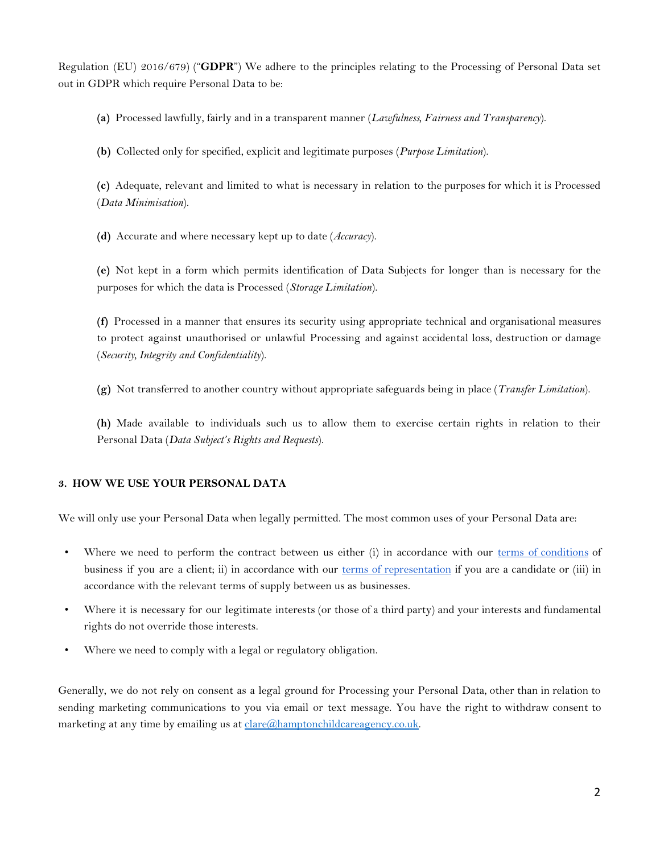Regulation (EU) 2016/679) ("**GDPR**") We adhere to the principles relating to the Processing of Personal Data set out in GDPR which require Personal Data to be:

**(a)** Processed lawfully, fairly and in a transparent manner (*Lawfulness, Fairness and Transparency*).

**(b)** Collected only for specified, explicit and legitimate purposes (*Purpose Limitation*).

**(c)** Adequate, relevant and limited to what is necessary in relation to the purposes for which it is Processed (*Data Minimisation*).

**(d)** Accurate and where necessary kept up to date (*Accuracy*).

**(e)** Not kept in a form which permits identification of Data Subjects for longer than is necessary for the purposes for which the data is Processed (*Storage Limitation*).

**(f)** Processed in a manner that ensures its security using appropriate technical and organisational measures to protect against unauthorised or unlawful Processing and against accidental loss, destruction or damage (*Security, Integrity and Confidentiality*).

**(g)** Not transferred to another country without appropriate safeguards being in place (*Transfer Limitation*).

**(h)** Made available to individuals such us to allow them to exercise certain rights in relation to their Personal Data (*Data Subject's Rights and Requests*).

# **3. HOW WE USE YOUR PERSONAL DATA**

We will only use your Personal Data when legally permitted. The most common uses of your Personal Data are:

- Where we need to perform the contract between us either (i) in accordance with our terms of [conditions](https://12e44446-064b-4dbc-a07f-88679b9dc3c4.filesusr.com/ugd/90a4f1_80e19baff9324a65a778b4006b5ea009.pdf) of business if you are a client; ii) in accordance with our terms of [representation](https://12e44446-064b-4dbc-a07f-88679b9dc3c4.filesusr.com/ugd/90a4f1_c703eae34eaf4b1db5ab46d779bb2ec0.pdf?index=true) if you are a candidate or (iii) in accordance with the relevant terms of supply between us as businesses.
- Where it is necessary for our legitimate interests (or those of a third party) and your interests and fundamental rights do not override those interests.
- Where we need to comply with a legal or regulatory obligation.

Generally, we do not rely on consent as a legal ground for Processing your Personal Data, other than in relation to sending marketing communications to you via email or text message. You have the right to withdraw consent to marketing at any time by emailing us at [clare@hamptonchildcareagency.co.uk](mailto:clare@hamptonchildcareagency.co.uk).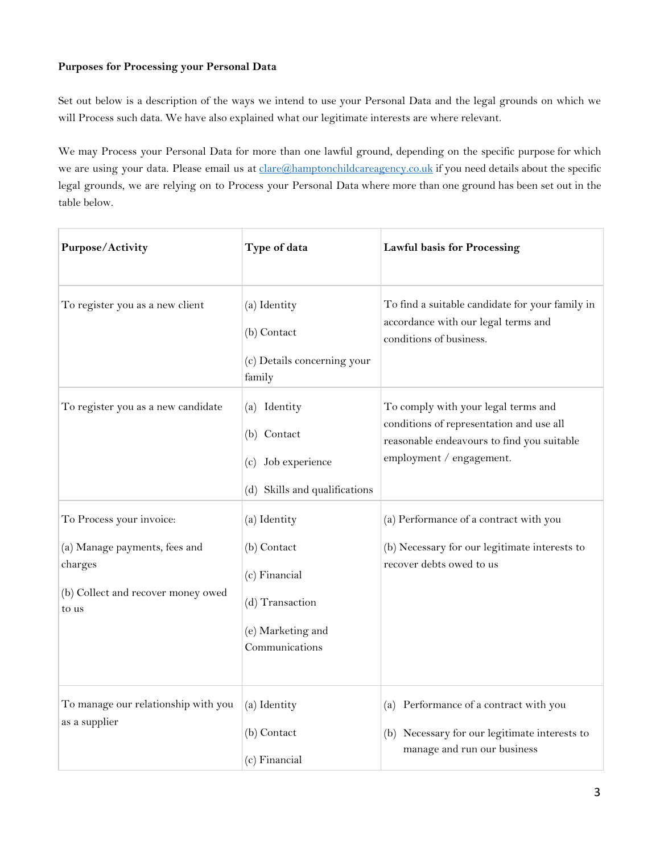# **Purposes for Processing your Personal Data**

Set out below is a description of the ways we intend to use your Personal Data and the legal grounds on which we will Process such data. We have also explained what our legitimate interests are where relevant.

We may Process your Personal Data for more than one lawful ground, depending on the specific purpose for which we are using your data. Please email us at [clare@hamptonchildcareagency.co.uk](mailto:clare@hamptonchildcareagency.co.uk) if you need details about the specific legal grounds, we are relying on to Process your Personal Data where more than one ground has been set out in the table below.

| Purpose/Activity                                                                        | Type of data                                                                           | <b>Lawful basis for Processing</b>                                                                                                                        |
|-----------------------------------------------------------------------------------------|----------------------------------------------------------------------------------------|-----------------------------------------------------------------------------------------------------------------------------------------------------------|
| To register you as a new client                                                         | (a) Identity<br>(b) Contact<br>(c) Details concerning your<br>family                   | To find a suitable candidate for your family in<br>accordance with our legal terms and<br>conditions of business.                                         |
| To register you as a new candidate                                                      | (a) Identity<br>(b) Contact<br>Job experience<br>(c)<br>(d) Skills and qualifications  | To comply with your legal terms and<br>conditions of representation and use all<br>reasonable endeavours to find you suitable<br>employment / engagement. |
| To Process your invoice:                                                                | (a) Identity                                                                           | (a) Performance of a contract with you                                                                                                                    |
| (a) Manage payments, fees and<br>charges<br>(b) Collect and recover money owed<br>to us | (b) Contact<br>(c) Financial<br>(d) Transaction<br>(e) Marketing and<br>Communications | (b) Necessary for our legitimate interests to<br>recover debts owed to us                                                                                 |
| To manage our relationship with you<br>as a supplier                                    | (a) Identity<br>(b) Contact<br>(c) Financial                                           | (a) Performance of a contract with you<br>(b) Necessary for our legitimate interests to<br>manage and run our business                                    |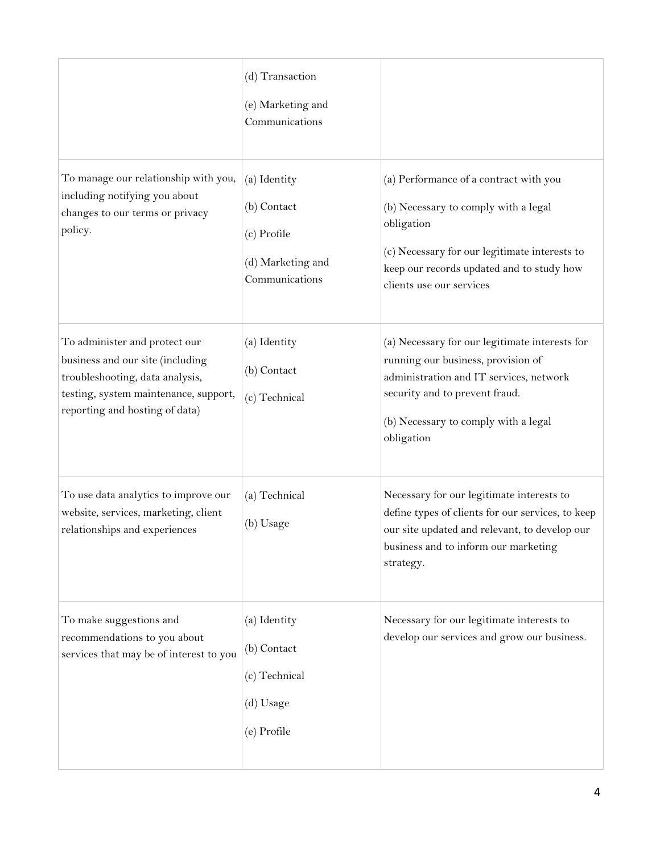|                                                                                                                                                                                 | (d) Transaction<br>(e) Marketing and<br>Communications                            |                                                                                                                                                                                                                         |
|---------------------------------------------------------------------------------------------------------------------------------------------------------------------------------|-----------------------------------------------------------------------------------|-------------------------------------------------------------------------------------------------------------------------------------------------------------------------------------------------------------------------|
| To manage our relationship with you,<br>including notifying you about<br>changes to our terms or privacy<br>policy.                                                             | (a) Identity<br>(b) Contact<br>(c) Profile<br>(d) Marketing and<br>Communications | (a) Performance of a contract with you<br>(b) Necessary to comply with a legal<br>obligation<br>(c) Necessary for our legitimate interests to<br>keep our records updated and to study how<br>clients use our services  |
| To administer and protect our<br>business and our site (including<br>troubleshooting, data analysis,<br>testing, system maintenance, support,<br>reporting and hosting of data) | (a) Identity<br>(b) Contact<br>(c) Technical                                      | (a) Necessary for our legitimate interests for<br>running our business, provision of<br>administration and IT services, network<br>security and to prevent fraud.<br>(b) Necessary to comply with a legal<br>obligation |
| To use data analytics to improve our<br>website, services, marketing, client<br>relationships and experiences                                                                   | (a) Technical<br>(b) Usage                                                        | Necessary for our legitimate interests to<br>define types of clients for our services, to keep<br>our site updated and relevant, to develop our<br>business and to inform our marketing<br>strategy.                    |
| To make suggestions and<br>recommendations to you about<br>services that may be of interest to you                                                                              | (a) Identity<br>(b) Contact<br>(c) Technical<br>(d) Usage<br>(e) Profile          | Necessary for our legitimate interests to<br>develop our services and grow our business.                                                                                                                                |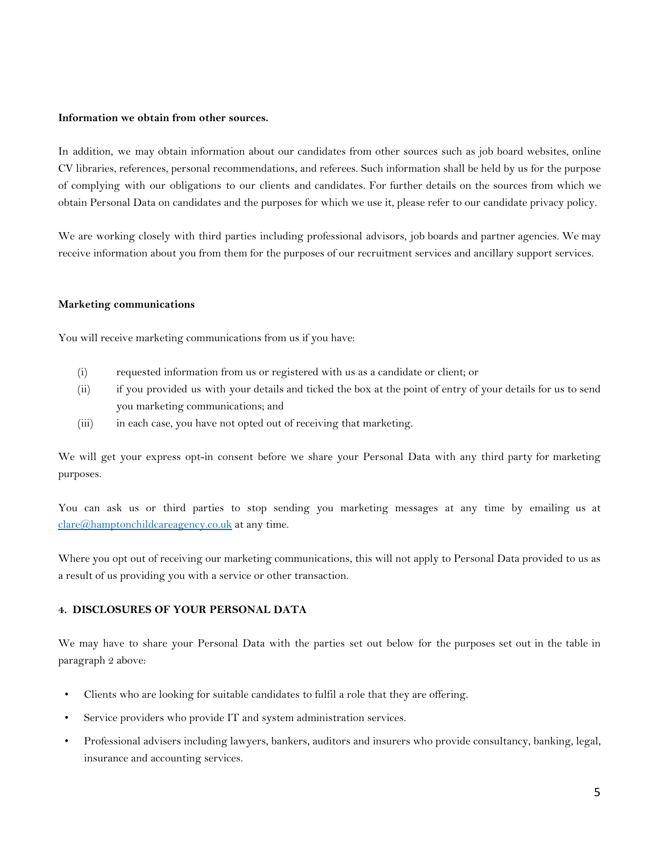## **Information we obtain from other sources.**

In addition, we may obtain information about our candidates from other sources such as job board websites, online CV libraries, references, personal recommendations, and referees. Such information shall be held by us for the purpose of complying with our obligations to our clients and candidates. For further details on the sources from which we obtain Personal Data on candidates and the purposes for which we use it, please refer to our candidate privacy policy.

We are working closely with third parties including professional advisors, job boards and partner agencies. We may receive information about you from them for the purposes of our recruitment services and ancillary support services.

#### **Marketing communications**

You will receive marketing communications from us if you have:

- (i) requested information from us or registered with us as a candidate or client; or
- (ii) if you provided us with your details and ticked the box at the point of entry of your details for us to send you marketing communications; and
- (iii) in each case, you have not opted out of receiving that marketing.

We will get your express opt-in consent before we share your Personal Data with any third party for marketing purposes.

You can ask us or third parties to stop sending you marketing messages at any time by emailing us at [clare@hamptonchildcareagency.co.uk](mailto:clare@hamptonchildcareagency.co.uk) at any time.

Where you opt out of receiving our marketing communications, this will not apply to Personal Data provided to us as a result of us providing you with a service or other transaction.

# **4. DISCLOSURES OF YOUR PERSONAL DATA**

We may have to share your Personal Data with the parties set out below for the purposes set out in the table in paragraph 2 above:

- Clients who are looking for suitable candidates to fulfil a role that they are offering.
- Service providers who provide IT and system administration services.
- Professional advisers including lawyers, bankers, auditors and insurers who provide consultancy, banking, legal, insurance and accounting services.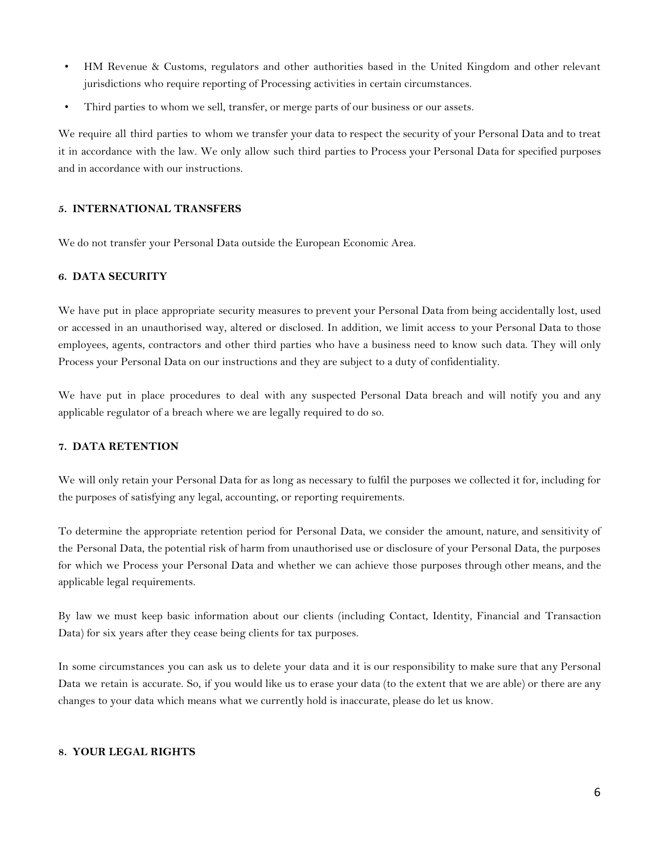- HM Revenue & Customs, regulators and other authorities based in the United Kingdom and other relevant jurisdictions who require reporting of Processing activities in certain circumstances.
- Third parties to whom we sell, transfer, or merge parts of our business or our assets.

We require all third parties to whom we transfer your data to respect the security of your Personal Data and to treat it in accordance with the law. We only allow such third parties to Process your Personal Data for specified purposes and in accordance with our instructions.

## **5. INTERNATIONAL TRANSFERS**

We do not transfer your Personal Data outside the European Economic Area.

## **6. DATA SECURITY**

We have put in place appropriate security measures to prevent your Personal Data from being accidentally lost, used or accessed in an unauthorised way, altered or disclosed. In addition, we limit access to your Personal Data to those employees, agents, contractors and other third parties who have a business need to know such data. They will only Process your Personal Data on our instructions and they are subject to a duty of confidentiality.

We have put in place procedures to deal with any suspected Personal Data breach and will notify you and any applicable regulator of a breach where we are legally required to do so.

#### **7. DATA RETENTION**

We will only retain your Personal Data for as long as necessary to fulfil the purposes we collected it for, including for the purposes of satisfying any legal, accounting, or reporting requirements.

To determine the appropriate retention period for Personal Data, we consider the amount, nature, and sensitivity of the Personal Data, the potential risk of harm from unauthorised use or disclosure of your Personal Data, the purposes for which we Process your Personal Data and whether we can achieve those purposes through other means, and the applicable legal requirements.

By law we must keep basic information about our clients (including Contact, Identity, Financial and Transaction Data) for six years after they cease being clients for tax purposes.

In some circumstances you can ask us to delete your data and it is our responsibility to make sure that any Personal Data we retain is accurate. So, if you would like us to erase your data (to the extent that we are able) or there are any changes to your data which means what we currently hold is inaccurate, please do let us know.

# **8. YOUR LEGAL RIGHTS**